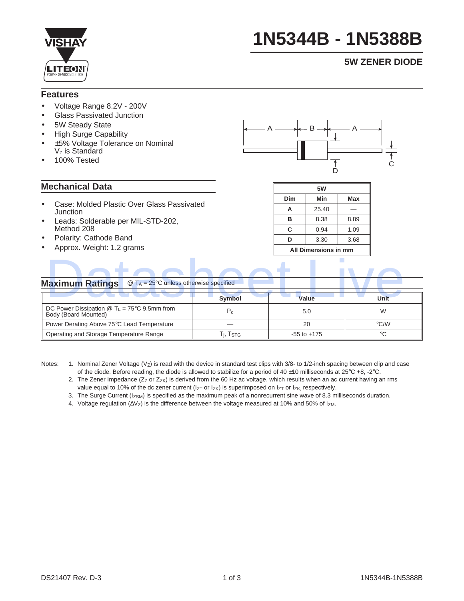

# **1N5344B - 1N5388B**

### **5W ZENER DIODE**

#### **Features**

- Voltage Range 8.2V 200V
- Glass Passivated Junction
- 5W Steady State
- High Surge Capability
- ±5% Voltage Tolerance on Nominal  $V<sub>z</sub>$  is Standard
- 100% Tested

#### **Mechanical Data**

- Case: Molded Plastic Over Glass Passivated **Junction**
- Leads: Solderable per MIL-STD-202, Method 208
- Polarity: Cathode Band
- Approx. Weight: 1.2 grams



| 5W                   |       |      |  |  |  |  |  |
|----------------------|-------|------|--|--|--|--|--|
| Dim                  | Min   | Max  |  |  |  |  |  |
| А                    | 25.40 |      |  |  |  |  |  |
| в                    | 8.38  | 8.89 |  |  |  |  |  |
| C                    | 0.94  | 1.09 |  |  |  |  |  |
| D                    | 3.30  | 3.68 |  |  |  |  |  |
| All Dimensions in mm |       |      |  |  |  |  |  |

#### **Maximum Ratings** @ T<sub>A</sub> = 25°C unless otherwise specified

| <b>Maximum Ratings</b><br>$\omega$ T <sub>A</sub> = 25°C unless otherwise specified  |                       |                 |                    |  |
|--------------------------------------------------------------------------------------|-----------------------|-----------------|--------------------|--|
|                                                                                      | <b>Symbol</b>         | Value           | Unit               |  |
| DC Power Dissipation $\textcircled{1}_{L}$ = 75°C 9.5mm from<br>Body (Board Mounted) | $P_{d}$               | 5.0             | W                  |  |
| Power Derating Above 75°C Lead Temperature                                           |                       | 20              | $\rm ^{\circ}$ C/W |  |
| Operating and Storage Temperature Range                                              | Т <sub>і</sub> , Tsтg | $-55$ to $+175$ | $^{\circ}C$        |  |

- Notes: 1. Nominal Zener Voltage (Vz) is read with the device in standard test clips with 3/8- to 1/2-inch spacing between clip and case of the diode. Before reading, the diode is allowed to stabilize for a period of 40 ±10 milliseconds at 25°C +8, -2°C.
	- 2. The Zener Impedance ( $Zz$  or  $Z_{ZK}$ ) is derived from the 60 Hz ac voltage, which results when an ac current having an rms value equal to 10% of the dc zener current ( $I_{ZT}$  or  $I_{ZK}$ ) is superimposed on  $I_{ZT}$  or  $I_{ZK}$ , respectively.
	- 3. The Surge Current (I<sub>ZSM</sub>) is specified as the maximum peak of a nonrecurrent sine wave of 8.3 milliseconds duration.
	- 4. Voltage regulation (ΔVz) is the difference between the voltage measured at 10% and 50% of Iz<sub>M</sub>.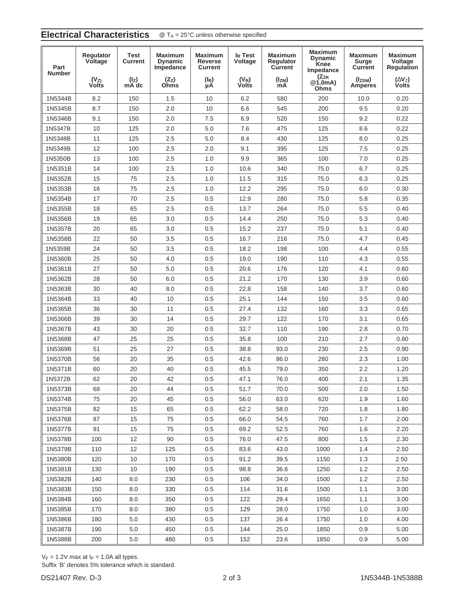## **Electrical Characteristics** @ T<sub>A</sub> = 25°C unless otherwise specified

| Part<br><b>Number</b> | Regulator<br>Voltage<br>(V <sub>Z)</sub><br>Volts | <b>Test</b><br><b>Current</b><br>(I <sub>Z</sub> )<br>mA dc | <b>Maximum</b><br><b>Dynamic</b><br>Impedance<br>$(Z_Z)$<br>Ohms | <b>Maximum</b><br><b>Reverse</b><br><b>Current</b><br>$(I_R)$ | I <sub>R</sub> Test<br>Voltage<br>$(V_R)$<br>Volts | <b>Maximum</b><br>Regulator<br>Current<br>$(I_{ZM})$ | <b>Maximum</b><br><b>Dynamic</b><br>Knee<br>Impedance<br>$(Z_{ZK}$<br>@1.0mA) | <b>Maximum</b><br><b>Surge</b><br><b>Current</b><br>(Izsm) | <b>Maximum</b><br>Voltage<br><b>Regulation</b><br>$(\Delta V_Z)$<br>Volts |
|-----------------------|---------------------------------------------------|-------------------------------------------------------------|------------------------------------------------------------------|---------------------------------------------------------------|----------------------------------------------------|------------------------------------------------------|-------------------------------------------------------------------------------|------------------------------------------------------------|---------------------------------------------------------------------------|
|                       |                                                   |                                                             |                                                                  | μA                                                            |                                                    | mA                                                   | Ohms                                                                          | <b>Amperes</b>                                             |                                                                           |
| 1N5344B               | 8.2                                               | 150                                                         | 1.5                                                              | 10                                                            | 6.2                                                | 580                                                  | 200                                                                           | 10.0                                                       | 0.20                                                                      |
| 1N5345B               | 8.7                                               | 150                                                         | 2.0                                                              | 10                                                            | 6.6                                                | 545                                                  | 200                                                                           | 9.5                                                        | 0.20                                                                      |
| 1N5346B               | 9.1                                               | 150                                                         | 2.0                                                              | 7.5                                                           | 6.9                                                | 520                                                  | 150                                                                           | 9.2                                                        | 0.22                                                                      |
| 1N5347B               | 10                                                | 125                                                         | 2.0                                                              | 5.0                                                           | 7.6                                                | 475                                                  | 125                                                                           | 8.6                                                        | 0.22                                                                      |
| 1N5348B               | 11                                                | 125                                                         | 2.5                                                              | 5.0                                                           | 8.4                                                | 430                                                  | 125                                                                           | 8.0                                                        | 0.25                                                                      |
| 1N5349B               | 12                                                | 100                                                         | 2.5                                                              | 2.0                                                           | 9.1                                                | 395                                                  | 125                                                                           | 7.5                                                        | 0.25                                                                      |
| 1N5350B               | 13                                                | 100                                                         | 2.5                                                              | 1.0                                                           | 9.9                                                | 365                                                  | 100                                                                           | 7.0                                                        | 0.25                                                                      |
| 1N5351B               | 14                                                | 100                                                         | 2.5                                                              | 1.0                                                           | 10.6                                               | 340                                                  | 75.0                                                                          | 6.7                                                        | 0.25                                                                      |
| 1N5352B               | 15                                                | 75                                                          | 2.5                                                              | 1.0                                                           | 11.5                                               | 315                                                  | 75.0                                                                          | 6.3                                                        | 0.25                                                                      |
| 1N5353B               | 16                                                | 75                                                          | 2.5                                                              | 1.0                                                           | 12.2                                               | 295                                                  | 75.0                                                                          | 6.0                                                        | 0.30                                                                      |
| 1N5354B               | 17                                                | 70                                                          | 2.5                                                              | 0.5                                                           | 12.9                                               | 280                                                  | 75.0                                                                          | 5.8                                                        | 0.35                                                                      |
| 1N5355B               | 18                                                | 65                                                          | 2.5                                                              | 0.5                                                           | 13.7                                               | 264                                                  | 75.0                                                                          | 5.5                                                        | 0.40                                                                      |
| 1N5356B               | 19                                                | 65                                                          | 3.0                                                              | 0.5                                                           | 14.4                                               | 250                                                  | 75.0                                                                          | 5.3                                                        | 0.40                                                                      |
| 1N5357B               | 20                                                | 65                                                          | 3.0                                                              | 0.5                                                           | 15.2                                               | 237                                                  | 75.0                                                                          | 5.1                                                        | 0.40                                                                      |
| 1N5358B               | 22                                                | 50                                                          | 3.5                                                              | 0.5                                                           | 16.7                                               | 216                                                  | 75.0                                                                          | 4.7                                                        | 0.45                                                                      |
| 1N5359B               | 24                                                | 50                                                          | 3.5                                                              | 0.5                                                           | 18.2                                               | 198                                                  | 100                                                                           | 4.4                                                        | 0.55                                                                      |
| 1N5360B               | 25                                                | 50                                                          | 4.0                                                              | 0.5                                                           | 19.0                                               | 190                                                  | 110                                                                           | 4.3                                                        | 0.55                                                                      |
| 1N5361B               | 27                                                | 50                                                          | 5.0                                                              | 0.5                                                           | 20.6                                               | 176                                                  | 120                                                                           | 4.1                                                        | 0.60                                                                      |
| 1N5362B               | 28                                                | 50                                                          | 6.0                                                              | 0.5                                                           | 21.2                                               | 170                                                  | 130                                                                           | 3.9                                                        | 0.60                                                                      |
| 1N5363B               | 30                                                | 40                                                          | 8.0                                                              | 0.5                                                           | 22.8                                               | 158                                                  | 140                                                                           | 3.7                                                        | 0.60                                                                      |
| 1N5364B               | 33                                                | 40                                                          | 10                                                               | 0.5                                                           | 25.1                                               | 144                                                  | 150                                                                           | 3.5                                                        | 0.60                                                                      |
| 1N5365B               | 36                                                | 30                                                          | 11                                                               | 0.5                                                           | 27.4                                               | 132                                                  | 160                                                                           | 3.3                                                        | 0.65                                                                      |
| 1N5366B               | 39                                                | 30                                                          | 14                                                               | 0.5                                                           | 29.7                                               | 122                                                  | 170                                                                           | 3.1                                                        | 0.65                                                                      |
| 1N5367B               | 43                                                | 30                                                          | 20                                                               | 0.5                                                           | 32.7                                               | 110                                                  | 190                                                                           | 2.8                                                        | 0.70                                                                      |
| 1N5368B               | 47                                                | 25                                                          | 25                                                               | 0.5                                                           | 35.8                                               | 100                                                  | 210                                                                           | 2.7                                                        | 0.80                                                                      |
| 1N5369B               | 51                                                | 25                                                          | 27                                                               | 0.5                                                           | 38.8                                               | 93.0                                                 | 230                                                                           | 2.5                                                        | 0.90                                                                      |
| 1N5370B               | 56                                                | 20                                                          | 35                                                               | 0.5                                                           | 42.6                                               | 86.0                                                 | 280                                                                           | 2.3                                                        | 1.00                                                                      |
| 1N5371B               | 60                                                | 20                                                          | 40                                                               | 0.5                                                           | 45.5                                               | 79.0                                                 | 350                                                                           | 2.2                                                        | 1.20                                                                      |
| 1N5372B               | 62                                                | 20                                                          | 42                                                               | 0.5                                                           | 47.1                                               | 76.0                                                 | 400                                                                           | 2.1                                                        | 1.35                                                                      |
| 1N5373B               | 68                                                | 20                                                          | 44                                                               | 0.5                                                           | 51.7                                               | 70.0                                                 | 500                                                                           | 2.0                                                        | 1.50                                                                      |
| 1N5374B               | 75                                                | 20                                                          | 45                                                               | 0.5                                                           | 56.0                                               | 63.0                                                 | 620                                                                           | 1.9                                                        | 1.60                                                                      |
| 1N5375B               | 82                                                | 15                                                          | 65                                                               | 0.5                                                           | 62.2                                               | 58.0                                                 | 720                                                                           | 1.8                                                        | 1.80                                                                      |
| 1N5376B               | 87                                                | 15                                                          | 75                                                               | 0.5                                                           | 66.0                                               | 54.5                                                 | 760                                                                           | 1.7                                                        | 2.00                                                                      |
| 1N5377B               | 91                                                | 15                                                          | 75                                                               | 0.5                                                           | 69.2                                               | 52.5                                                 | 760                                                                           | 1.6                                                        | 2.20                                                                      |
| 1N5378B               | 100                                               | 12                                                          | 90                                                               | 0.5                                                           | 76.0                                               | 47.5                                                 | 800                                                                           | 1.5                                                        | 2.30                                                                      |
| 1N5379B               | 110                                               | 12                                                          | 125                                                              | 0.5                                                           | 83.6                                               | 43.0                                                 | 1000                                                                          | 1.4                                                        | 2.50                                                                      |
| 1N5380B               | 120                                               | 10                                                          | 170                                                              | 0.5                                                           | 91.2                                               | 39.5                                                 | 1150                                                                          | 1.3                                                        | 2.50                                                                      |
| 1N5381B               | 130                                               | 10                                                          | 190                                                              | 0.5                                                           | 98.8                                               | 36.6                                                 | 1250                                                                          | 1.2                                                        | 2.50                                                                      |
| 1N5382B               | 140                                               | 8.0                                                         | 230                                                              | 0.5                                                           | 106                                                | 34.0                                                 | 1500                                                                          | 1.2                                                        | 2.50                                                                      |
| 1N5383B               | 150                                               | 8.0                                                         | 330                                                              | 0.5                                                           | 114                                                | 31.6                                                 | 1500                                                                          | 1.1                                                        | 3.00                                                                      |
| 1N5384B               | 160                                               | 8.0                                                         | 350                                                              | 0.5                                                           | 122                                                | 29.4                                                 | 1650                                                                          | 1.1                                                        | 3.00                                                                      |
| 1N5385B               | 170                                               | 8.0                                                         | 380                                                              | 0.5                                                           | 129                                                | 28.0                                                 | 1750                                                                          | 1.0                                                        | 3.00                                                                      |
| 1N5386B               | 180                                               | 5.0                                                         | 430                                                              | 0.5                                                           | 137                                                | 26.4                                                 | 1750                                                                          | 1.0                                                        | 4.00                                                                      |
| 1N5387B               | 190                                               | 5.0                                                         | 450                                                              | 0.5                                                           | 144                                                | 25.0                                                 | 1850                                                                          | 0.9                                                        | 5.00                                                                      |
| 1N5388B               | 200                                               | 5.0                                                         | 480                                                              | 0.5                                                           | 152                                                | 23.6                                                 | 1850                                                                          | 0.9                                                        | 5.00                                                                      |

 $V_F = 1.2V$  max at  $I_F = 1.0A$  all types.

Suffix 'B' denotes 5% tolerance which is standard.